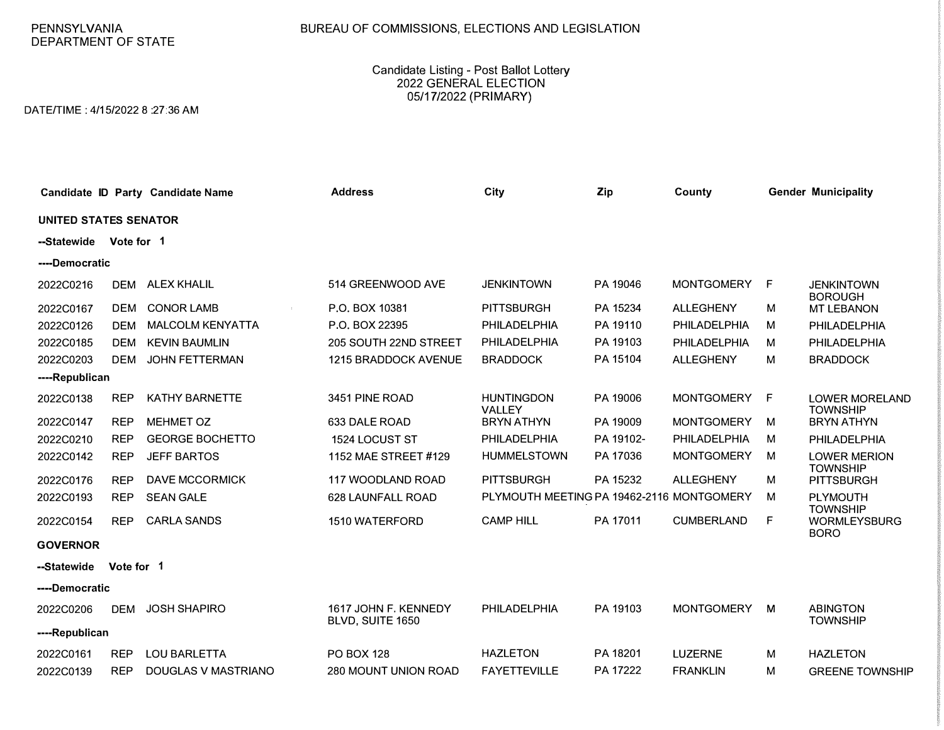## PENNSYLVANIA DEPARTMENT OF STATE

## BUREAU OF COMMISSIONS, ELECTIONS AND LEGISLATION

Candidate Listing - Post Ballot Lottery 2022 GENERAL ELECTION 05/17/2022 (PRIMARY)

DATE/TIME: 4/15/2022 8:27:36 AM

|                              |            | Candidate ID Party Candidate Name | <b>Address</b>                           | City                                      | Zip       | County            |   | <b>Gender Municipality</b>                            |
|------------------------------|------------|-----------------------------------|------------------------------------------|-------------------------------------------|-----------|-------------------|---|-------------------------------------------------------|
| <b>UNITED STATES SENATOR</b> |            |                                   |                                          |                                           |           |                   |   |                                                       |
| --Statewide                  | Vote for 1 |                                   |                                          |                                           |           |                   |   |                                                       |
| ----Democratic               |            |                                   |                                          |                                           |           |                   |   |                                                       |
| 2022C0216                    | <b>DEM</b> | <b>ALEX KHALIL</b>                | 514 GREENWOOD AVE                        | <b>JENKINTOWN</b>                         | PA 19046  | <b>MONTGOMERY</b> | F | <b>JENKINTOWN</b><br><b>BOROUGH</b>                   |
| 2022C0167                    | <b>DEM</b> | <b>CONOR LAMB</b>                 | P.O. BOX 10381                           | <b>PITTSBURGH</b>                         | PA 15234  | <b>ALLEGHENY</b>  | M | <b>MT LEBANON</b>                                     |
| 2022C0126                    | <b>DEM</b> | <b>MALCOLM KENYATTA</b>           | P.O. BOX 22395                           | <b>PHILADELPHIA</b>                       | PA 19110  | PHILADELPHIA      | М | PHILADELPHIA                                          |
| 2022C0185                    | <b>DEM</b> | <b>KEVIN BAUMLIN</b>              | 205 SOUTH 22ND STREET                    | PHILADELPHIA                              | PA 19103  | PHILADELPHIA      | м | PHILADELPHIA                                          |
| 2022C0203                    | <b>DEM</b> | <b>JOHN FETTERMAN</b>             | <b>1215 BRADDOCK AVENUE</b>              | <b>BRADDOCK</b>                           | PA 15104  | <b>ALLEGHENY</b>  | м | <b>BRADDOCK</b>                                       |
| ----Republican               |            |                                   |                                          |                                           |           |                   |   |                                                       |
| 2022C0138                    | <b>REP</b> | <b>KATHY BARNETTE</b>             | 3451 PINE ROAD                           | <b>HUNTINGDON</b><br><b>VALLEY</b>        | PA 19006  | <b>MONTGOMERY</b> | F | <b>LOWER MORELAND</b><br><b>TOWNSHIP</b>              |
| 2022C0147                    | <b>REP</b> | <b>MEHMET OZ</b>                  | 633 DALE ROAD                            | <b>BRYN ATHYN</b>                         | PA 19009  | <b>MONTGOMERY</b> | м | <b>BRYN ATHYN</b>                                     |
| 2022C0210                    | <b>REP</b> | <b>GEORGE BOCHETTO</b>            | 1524 LOCUST ST                           | PHILADELPHIA                              | PA 19102- | PHILADELPHIA      | м | PHILADELPHIA                                          |
| 2022C0142                    | <b>REP</b> | <b>JEFF BARTOS</b>                | 1152 MAE STREET #129                     | <b>HUMMELSTOWN</b>                        | PA 17036  | <b>MONTGOMERY</b> | м | <b>LOWER MERION</b>                                   |
| 2022C0176                    | <b>REP</b> | <b>DAVE MCCORMICK</b>             | <b>117 WOODLAND ROAD</b>                 | <b>PITTSBURGH</b>                         | PA 15232  | <b>ALLEGHENY</b>  | M | <b>TOWNSHIP</b><br><b>PITTSBURGH</b>                  |
| 2022C0193                    | <b>REP</b> | <b>SEAN GALE</b>                  | <b>628 LAUNFALL ROAD</b>                 | PLYMOUTH MEETING PA 19462-2116 MONTGOMERY |           |                   | м | <b>PLYMOUTH</b>                                       |
| 2022C0154                    | <b>REP</b> | <b>CARLA SANDS</b>                | 1510 WATERFORD                           | <b>CAMP HILL</b>                          | PA 17011  | <b>CUMBERLAND</b> | F | <b>TOWNSHIP</b><br><b>WORMLEYSBURG</b><br><b>BORO</b> |
| <b>GOVERNOR</b>              |            |                                   |                                          |                                           |           |                   |   |                                                       |
| --Statewide                  | Vote for 1 |                                   |                                          |                                           |           |                   |   |                                                       |
| ----Democratic               |            |                                   |                                          |                                           |           |                   |   |                                                       |
| 2022C0206                    | <b>DEM</b> | <b>JOSH SHAPIRO</b>               | 1617 JOHN F. KENNEDY<br>BLVD, SUITE 1650 | PHILADELPHIA                              | PA 19103  | <b>MONTGOMERY</b> | M | <b>ABINGTON</b><br><b>TOWNSHIP</b>                    |
| ----Republican               |            |                                   |                                          |                                           |           |                   |   |                                                       |
| 2022C0161                    | <b>REP</b> | <b>LOU BARLETTA</b>               | <b>PO BOX 128</b>                        | <b>HAZLETON</b>                           | PA 18201  | <b>LUZERNE</b>    | М | <b>HAZLETON</b>                                       |
| 2022C0139                    | <b>REP</b> | DOUGLAS V MASTRIANO               | 280 MOUNT UNION ROAD                     | <b>FAYETTEVILLE</b>                       | PA 17222  | <b>FRANKLIN</b>   | м | <b>GREENE TOWNSHIP</b>                                |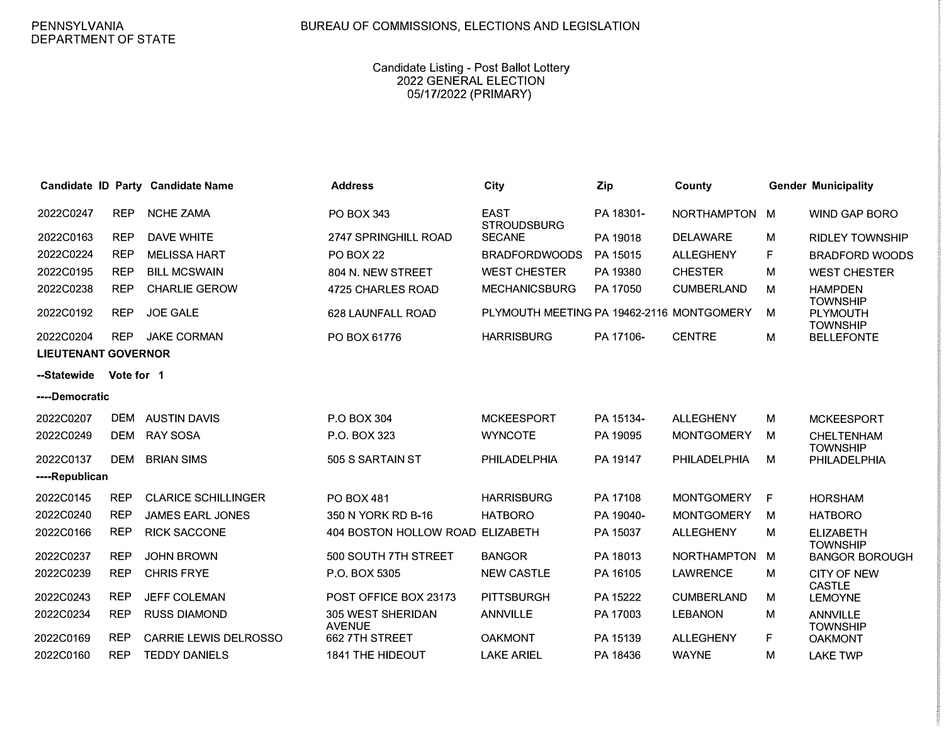## Candidate Listing - Post Ballot Lottery 2022 GENERAL ELECTION 05/17/2022 (PRIMARY)

|                            |            | Candidate ID Party Candidate Name | <b>Address</b>                     | City                                      | Zip       | County              |    | <b>Gender Municipality</b>           |
|----------------------------|------------|-----------------------------------|------------------------------------|-------------------------------------------|-----------|---------------------|----|--------------------------------------|
| 2022C0247                  | <b>REP</b> | <b>NCHE ZAMA</b>                  | <b>PO BOX 343</b>                  | <b>EAST</b><br><b>STROUDSBURG</b>         | PA 18301- | <b>NORTHAMPTON</b>  | M  | <b>WIND GAP BORO</b>                 |
| 2022C0163                  | <b>REP</b> | <b>DAVE WHITE</b>                 | 2747 SPRINGHILL ROAD               | <b>SECANE</b>                             | PA 19018  | <b>DELAWARE</b>     | M  | <b>RIDLEY TOWNSHIP</b>               |
| 2022C0224                  | <b>REP</b> | <b>MELISSA HART</b>               | <b>PO BOX 22</b>                   | <b>BRADFORDWOODS</b>                      | PA 15015  | <b>ALLEGHENY</b>    | F  | <b>BRADFORD WOODS</b>                |
| 2022C0195                  | <b>REP</b> | <b>BILL MCSWAIN</b>               | 804 N. NEW STREET                  | <b>WEST CHESTER</b>                       | PA 19380  | <b>CHESTER</b>      | М  | <b>WEST CHESTER</b>                  |
| 2022C0238                  | <b>REP</b> | <b>CHARLIE GEROW</b>              | 4725 CHARLES ROAD                  | <b>MECHANICSBURG</b>                      | PA 17050  | <b>CUMBERLAND</b>   | М  | <b>HAMPDEN</b><br><b>TOWNSHIP</b>    |
| 2022C0192                  | <b>REP</b> | <b>JOE GALE</b>                   | 628 LAUNFALL ROAD                  | PLYMOUTH MEETING PA 19462-2116 MONTGOMERY |           |                     | M  | <b>PLYMOUTH</b><br><b>TOWNSHIP</b>   |
| 2022C0204                  | <b>REP</b> | <b>JAKE CORMAN</b>                | PO BOX 61776                       | <b>HARRISBURG</b>                         | PA 17106- | <b>CENTRE</b>       | M  | <b>BELLEFONTE</b>                    |
| <b>LIEUTENANT GOVERNOR</b> |            |                                   |                                    |                                           |           |                     |    |                                      |
| --Statewide                | Vote for 1 |                                   |                                    |                                           |           |                     |    |                                      |
| ----Democratic             |            |                                   |                                    |                                           |           |                     |    |                                      |
| 2022C0207                  | <b>DEM</b> | <b>AUSTIN DAVIS</b>               | P.O BOX 304                        | <b>MCKEESPORT</b>                         | PA 15134- | <b>ALLEGHENY</b>    | M  | <b>MCKEESPORT</b>                    |
| 2022C0249                  | <b>DEM</b> | <b>RAY SOSA</b>                   | P.O. BOX 323                       | <b>WYNCOTE</b>                            | PA 19095  | <b>MONTGOMERY</b>   | М  | <b>CHELTENHAM</b><br><b>TOWNSHIP</b> |
| 2022C0137                  | <b>DEM</b> | <b>BRIAN SIMS</b>                 | 505 S SARTAIN ST                   | PHILADELPHIA                              | PA 19147  | <b>PHILADELPHIA</b> | М  | PHILADELPHIA                         |
| ----Republican             |            |                                   |                                    |                                           |           |                     |    |                                      |
| 2022C0145                  | <b>REP</b> | <b>CLARICE SCHILLINGER</b>        | <b>PO BOX 481</b>                  | <b>HARRISBURG</b>                         | PA 17108  | <b>MONTGOMERY</b>   | F  | <b>HORSHAM</b>                       |
| 2022C0240                  | <b>REP</b> | <b>JAMES EARL JONES</b>           | 350 N YORK RD B-16                 | <b>HATBORO</b>                            | PA 19040- | <b>MONTGOMERY</b>   | M  | <b>HATBORO</b>                       |
| 2022C0166                  | <b>REP</b> | <b>RICK SACCONE</b>               | 404 BOSTON HOLLOW ROAD ELIZABETH   |                                           | PA 15037  | <b>ALLEGHENY</b>    | M  | <b>ELIZABETH</b><br><b>TOWNSHIP</b>  |
| 2022C0237                  | <b>REP</b> | <b>JOHN BROWN</b>                 | 500 SOUTH 7TH STREET               | <b>BANGOR</b>                             | PA 18013  | <b>NORTHAMPTON</b>  | M  | <b>BANGOR BOROUGH</b>                |
| 2022C0239                  | <b>REP</b> | <b>CHRIS FRYE</b>                 | P.O. BOX 5305                      | <b>NEW CASTLE</b>                         | PA 16105  | <b>LAWRENCE</b>     | M  | <b>CITY OF NEW</b><br><b>CASTLE</b>  |
| 2022C0243                  | <b>REP</b> | <b>JEFF COLEMAN</b>               | POST OFFICE BOX 23173              | <b>PITTSBURGH</b>                         | PA 15222  | <b>CUMBERLAND</b>   | M  | <b>LEMOYNE</b>                       |
| 2022C0234                  | <b>REP</b> | <b>RUSS DIAMOND</b>               | 305 WEST SHERIDAN<br><b>AVENUE</b> | <b>ANNVILLE</b>                           | PA 17003  | <b>LEBANON</b>      | м  | <b>ANNVILLE</b><br><b>TOWNSHIP</b>   |
| 2022C0169                  | <b>REP</b> | <b>CARRIE LEWIS DELROSSO</b>      | 662 7TH STREET                     | <b>OAKMONT</b>                            | PA 15139  | <b>ALLEGHENY</b>    | F. | <b>OAKMONT</b>                       |
| 2022C0160                  | <b>REP</b> | <b>TEDDY DANIELS</b>              | <b>1841 THE HIDEOUT</b>            | <b>LAKE ARIEL</b>                         | PA 18436  | <b>WAYNE</b>        | M  | <b>LAKE TWP</b>                      |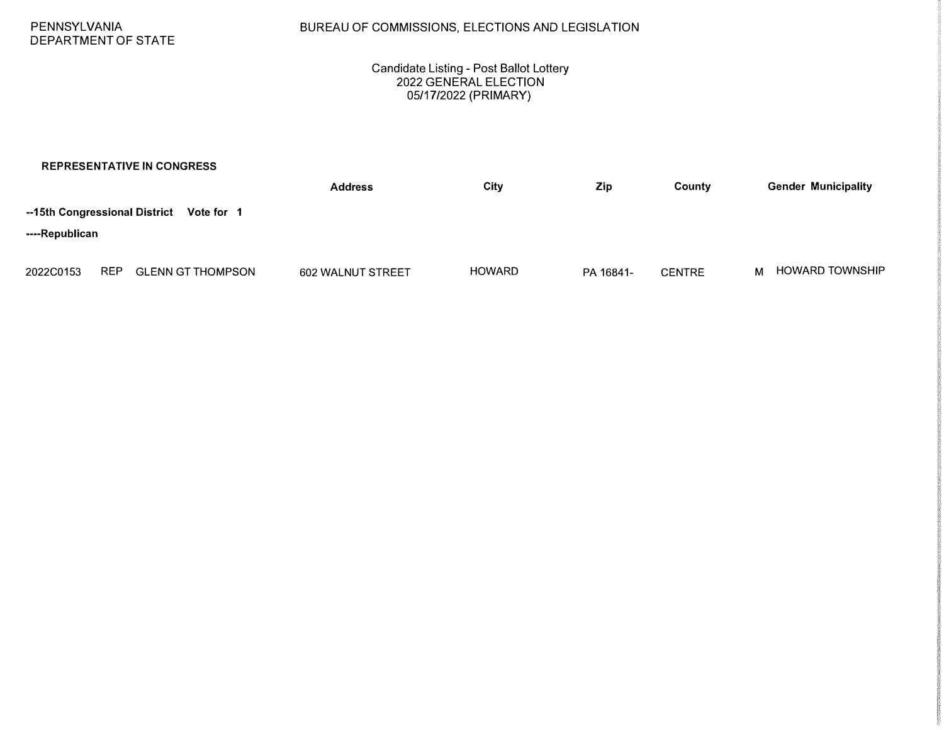### Candidate Listing - Post Ballot Lottery 2022 GENERAL ELECTION 05/17/2022 (PRIMARY)

|                                             |            | <b>REPRESENTATIVE IN CONGRESS</b> |                   |               |           |               |   |                            |
|---------------------------------------------|------------|-----------------------------------|-------------------|---------------|-----------|---------------|---|----------------------------|
|                                             |            |                                   | <b>Address</b>    | City          | Zip       | County        |   | <b>Gender Municipality</b> |
| --15th Congressional District<br>Vote for 1 |            |                                   |                   |               |           |               |   |                            |
| ----Republican                              |            |                                   |                   |               |           |               |   |                            |
| 2022C0153                                   | <b>REP</b> | <b>GLENN GT THOMPSON</b>          | 602 WALNUT STREET | <b>HOWARD</b> | PA 16841- | <b>CENTRE</b> | м | <b>HOWARD TOWNSHIP</b>     |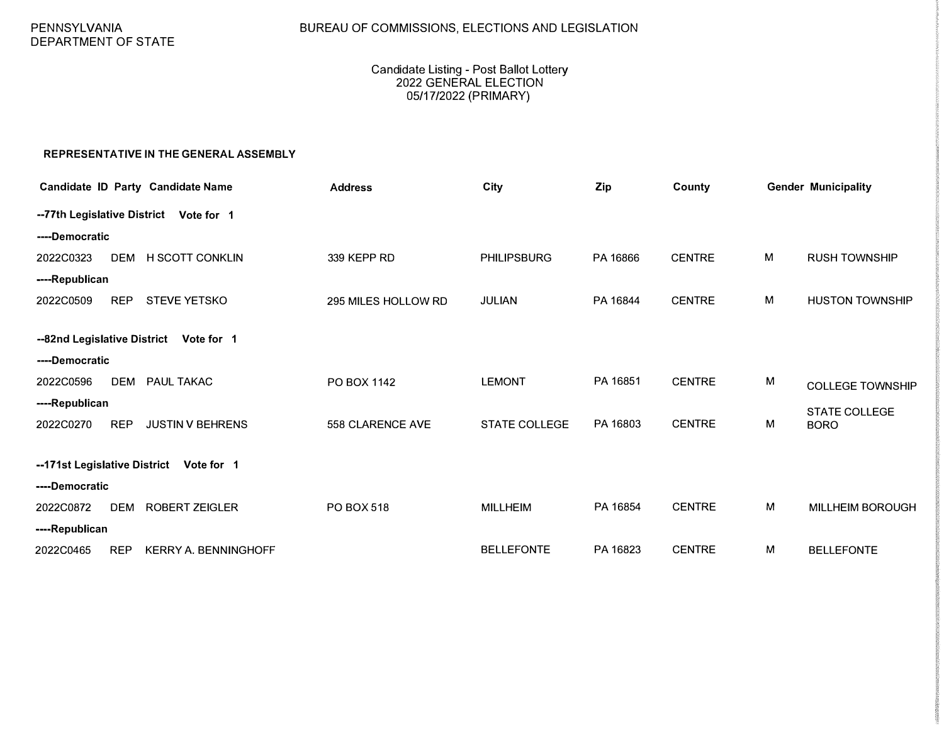# BUREAU OF COMMISSIONS, ELECTIONS AND LEGISLATION

## Candidate Listing - Post Ballot Lottery 2022 GENERAL ELECTION 05/17/2022 (PRIMARY)

### **REPRESENTATIVE IN THE GENERAL ASSEMBLY**

|                                            |            | <b>Candidate ID Party Candidate Name</b> | <b>Address</b>      | City               | Zip      | County        |   | <b>Gender Municipality</b> |
|--------------------------------------------|------------|------------------------------------------|---------------------|--------------------|----------|---------------|---|----------------------------|
|                                            |            | -- 77th Legislative District Vote for 1  |                     |                    |          |               |   |                            |
| ----Democratic                             |            |                                          |                     |                    |          |               |   |                            |
| 2022C0323                                  | <b>DEM</b> | <b>H SCOTT CONKLIN</b>                   | 339 KEPP RD         | <b>PHILIPSBURG</b> | PA 16866 | <b>CENTRE</b> | M | <b>RUSH TOWNSHIP</b>       |
| ----Republican                             |            |                                          |                     |                    |          |               |   |                            |
| 2022C0509                                  | <b>REP</b> | <b>STEVE YETSKO</b>                      | 295 MILES HOLLOW RD | <b>JULIAN</b>      | PA 16844 | <b>CENTRE</b> | M | <b>HUSTON TOWNSHIP</b>     |
| --82nd Legislative District<br>Vote for 1  |            |                                          |                     |                    |          |               |   |                            |
| ----Democratic                             |            |                                          |                     |                    |          |               |   |                            |
| 2022C0596                                  | <b>DEM</b> | <b>PAUL TAKAC</b>                        | PO BOX 1142         | <b>LEMONT</b>      | PA 16851 | <b>CENTRE</b> | M | <b>COLLEGE TOWNSHIP</b>    |
| ----Republican                             |            |                                          |                     |                    |          |               |   | <b>STATE COLLEGE</b>       |
| 2022C0270                                  | <b>REP</b> | <b>JUSTIN V BEHRENS</b>                  | 558 CLARENCE AVE    | STATE COLLEGE      | PA 16803 | <b>CENTRE</b> | M | <b>BORO</b>                |
| --171st Legislative District<br>Vote for 1 |            |                                          |                     |                    |          |               |   |                            |
| ----Democratic                             |            |                                          |                     |                    |          |               |   |                            |
| 2022C0872                                  | <b>DEM</b> | <b>ROBERT ZEIGLER</b>                    | <b>PO BOX 518</b>   | <b>MILLHEIM</b>    | PA 16854 | <b>CENTRE</b> | M | <b>MILLHEIM BOROUGH</b>    |
| ----Republican                             |            |                                          |                     |                    |          |               |   |                            |
| 2022C0465                                  | <b>REP</b> | <b>KERRY A. BENNINGHOFF</b>              |                     | <b>BELLEFONTE</b>  | PA 16823 | <b>CENTRE</b> | М | <b>BELLEFONTE</b>          |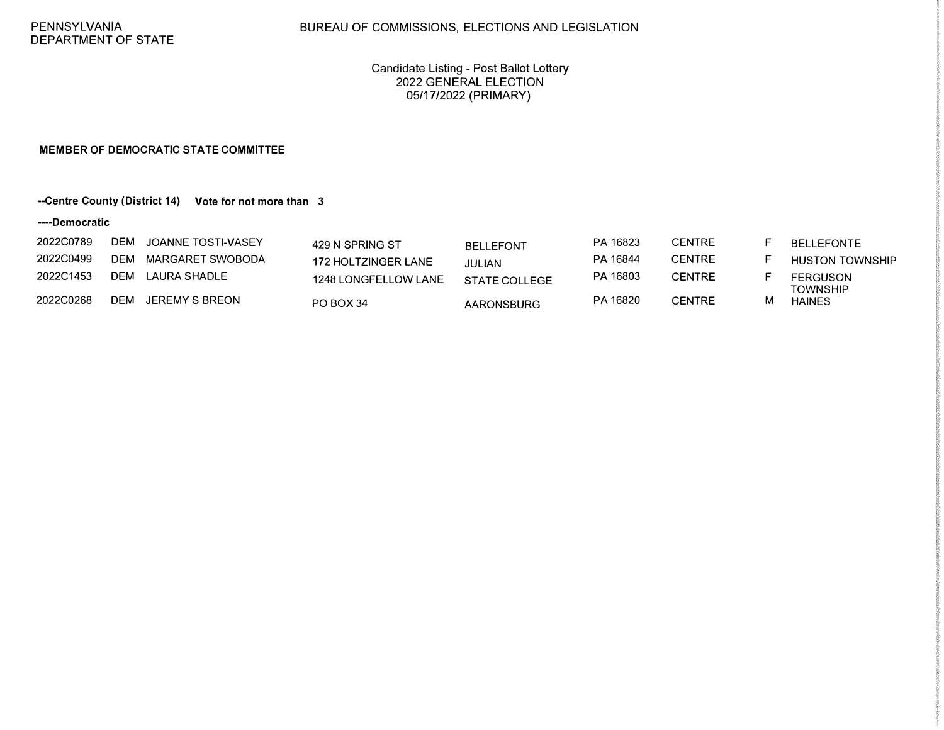## BUREAU OF COMMISSIONS, ELECTIONS AND LEGISLATION

Candidate Listing - Post Ballot Lottery 2022 GENERAL ELECTION 05/17/2022 (PRIMARY)

#### **MEMBER OF DEMOCRATIC STATE COMMITTEE**

## **--Centre County (District 14) Vote for not more than 3**

#### **----Democratic**

| 2022C0789 |            | DEM JOANNE TOSTI-VASEY | 429 N SPRING ST      | <b>BELLEFONT</b>  | PA 16823 | <b>CENTRE</b> | <b>BELLEFONTE</b>                  |
|-----------|------------|------------------------|----------------------|-------------------|----------|---------------|------------------------------------|
| 2022C0499 |            | DEM MARGARET SWOBODA   | 172 HOLTZINGER LANE  | JULIAN            | PA 16844 | <b>CENTRE</b> | <b>HUSTON TOWNSHIP</b>             |
| 2022C1453 |            | DEM LAURA SHADLE       | 1248 LONGFELLOW LANE | STATE COLLEGE     | PA 16803 | <b>CENTRE</b> | <b>FERGUSON</b><br><b>TOWNSHIP</b> |
| 2022C0268 | <b>DEM</b> | JEREMY S BREON         | PO BOX 34            | <b>AARONSBURG</b> | PA 16820 | <b>CENTRE</b> | <b>HAINES</b>                      |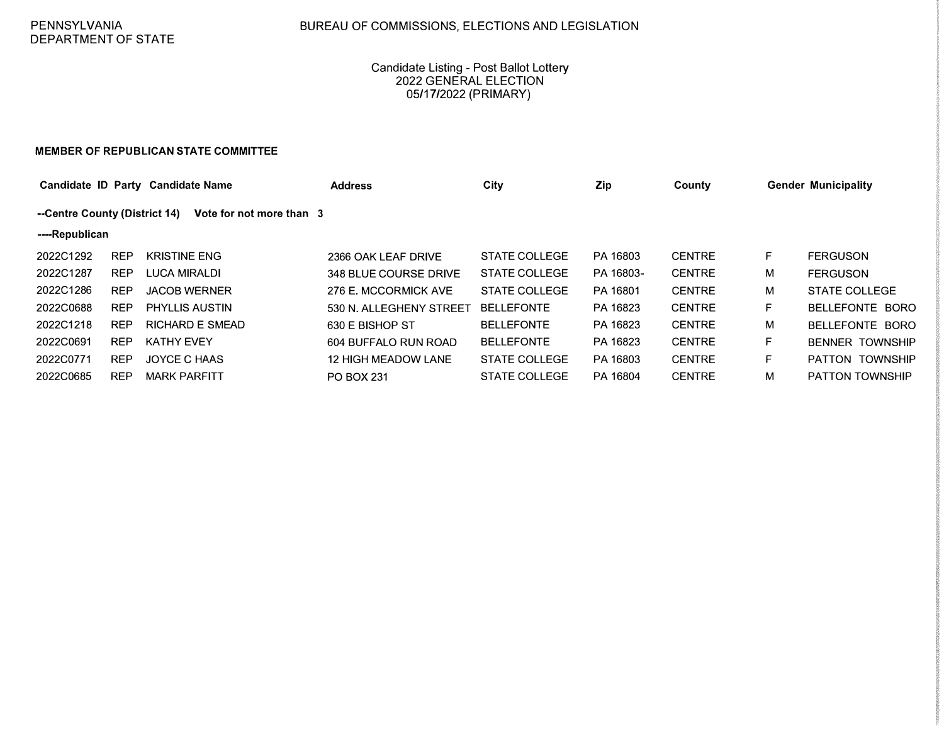## Candidate Listing - Post Ballot Lottery 2022 GENERAL ELECTION 05/17/2022 (PRIMARY)

#### **MEMBER OF REPUBLICAN STATE COMMITTEE**

|                |                                                           | Candidate ID Party Candidate Name | <b>Address</b>             | City                 | Zip       | County        |    | <b>Gender Municipality</b> |  |
|----------------|-----------------------------------------------------------|-----------------------------------|----------------------------|----------------------|-----------|---------------|----|----------------------------|--|
|                | --Centre County (District 14)<br>Vote for not more than 3 |                                   |                            |                      |           |               |    |                            |  |
| ----Republican |                                                           |                                   |                            |                      |           |               |    |                            |  |
| 2022C1292      | REP                                                       | <b>KRISTINE ENG</b>               | 2366 OAK LEAF DRIVE        | STATE COLLEGE        | PA 16803  | <b>CENTRE</b> | F. | <b>FERGUSON</b>            |  |
| 2022C1287      | <b>REP</b>                                                | <b>LUCA MIRALDI</b>               | 348 BLUE COURSE DRIVE      | <b>STATE COLLEGE</b> | PA 16803- | <b>CENTRE</b> | м  | <b>FERGUSON</b>            |  |
| 2022C1286      | <b>REP</b>                                                | <b>JACOB WERNER</b>               | 276 E. MCCORMICK AVE       | STATE COLLEGE        | PA 16801  | <b>CENTRE</b> | М  | <b>STATE COLLEGE</b>       |  |
| 2022C0688      | <b>REP</b>                                                | <b>PHYLLIS AUSTIN</b>             | 530 N. ALLEGHENY STREET    | <b>BELLEFONTE</b>    | PA 16823  | <b>CENTRE</b> | F. | BELLEFONTE BORO            |  |
| 2022C1218      | <b>REP</b>                                                | <b>RICHARD E SMEAD</b>            | 630 E BISHOP ST            | <b>BELLEFONTE</b>    | PA 16823  | <b>CENTRE</b> | м  | BELLEFONTE BORO            |  |
| 2022C0691      | <b>REP</b>                                                | <b>KATHY EVEY</b>                 | 604 BUFFALO RUN ROAD       | <b>BELLEFONTE</b>    | PA 16823  | <b>CENTRE</b> | F. | <b>BENNER TOWNSHIP</b>     |  |
| 2022C0771      | <b>REP</b>                                                | JOYCE C HAAS                      | <b>12 HIGH MEADOW LANE</b> | <b>STATE COLLEGE</b> | PA 16803  | <b>CENTRE</b> | F. | PATTON TOWNSHIP            |  |
| 2022C0685      | <b>REP</b>                                                | <b>MARK PARFITT</b>               | <b>PO BOX 231</b>          | STATE COLLEGE        | PA 16804  | <b>CENTRE</b> | М  | <b>PATTON TOWNSHIP</b>     |  |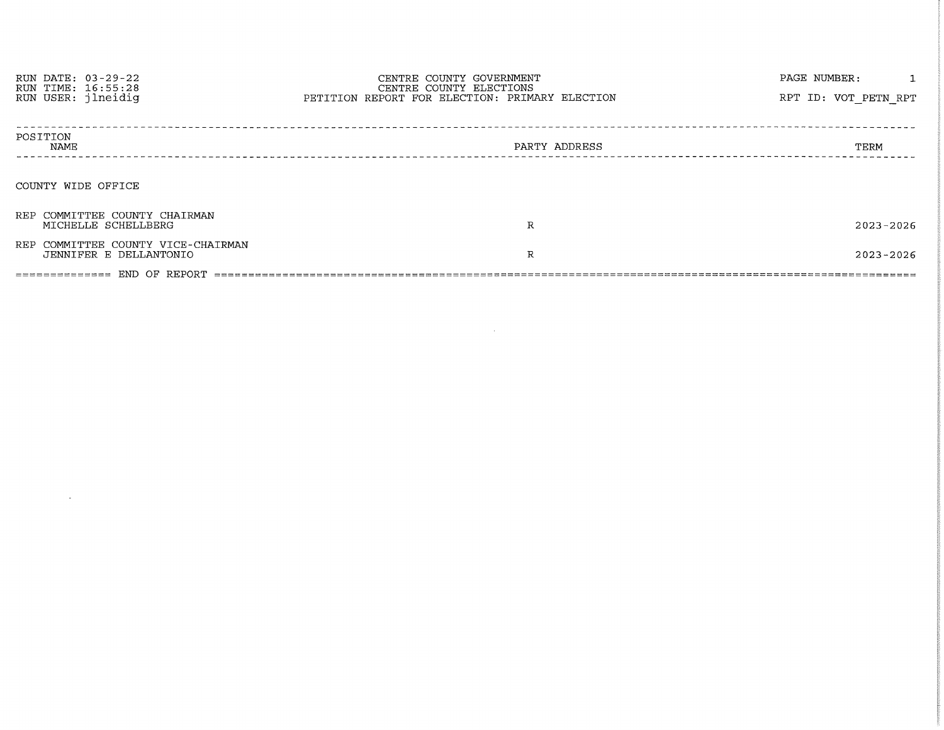| RUN DATE: 03-29-22<br>RUN TIME: 16:55:28<br>RUN USER: jlneidig | CENTRE COUNTY GOVERNMENT<br>CENTRE COUNTY ELECTIONS<br>PETITION REPORT FOR ELECTION: PRIMARY ELECTION | PAGE NUMBER:<br>RPT ID: VOT PETN RPT |  |  |  |  |
|----------------------------------------------------------------|-------------------------------------------------------------------------------------------------------|--------------------------------------|--|--|--|--|
| POSITION<br>NAME                                               | PARTY ADDRESS                                                                                         | TERM                                 |  |  |  |  |
| COUNTY WIDE OFFICE                                             |                                                                                                       |                                      |  |  |  |  |
| REP COMMITTEE COUNTY CHAIRMAN<br>MICHELLE SCHELLBERG           | R                                                                                                     | $2023 - 2026$                        |  |  |  |  |
| REP COMMITTEE COUNTY VICE-CHAIRMAN<br>JENNIFER E DELLANTONIO   | R                                                                                                     | 2023-2026                            |  |  |  |  |
|                                                                |                                                                                                       |                                      |  |  |  |  |

 $\mathcal{L}(\mathcal{A})$  and  $\mathcal{L}(\mathcal{A})$  . The set of  $\mathcal{L}(\mathcal{A})$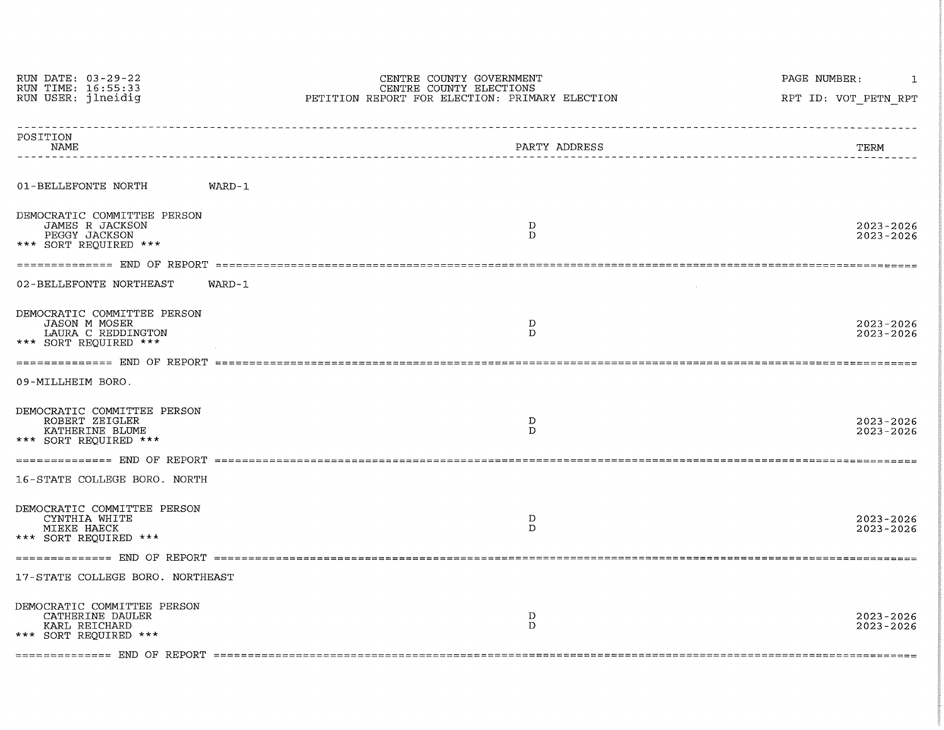| RUN DATE: 03-29-22<br>RUN TIME: 16:55:33                                                           | CENTRE COUNTY GOVERNMENT<br>CENTRE COUNTY ELECTIONS | PAGE NUMBER:                   |  |  |
|----------------------------------------------------------------------------------------------------|-----------------------------------------------------|--------------------------------|--|--|
| RUN USER: ilneidig                                                                                 | PETITION REPORT FOR ELECTION: PRIMARY ELECTION      | RPT ID: VOT PETN RPT           |  |  |
| POSITION<br>NAME                                                                                   | PARTY ADDRESS<br>----------------------------       | TERM                           |  |  |
| 01-BELLEFONTE NORTH                                                                                | WARD-1                                              |                                |  |  |
| DEMOCRATIC COMMITTEE PERSON<br>JAMES R JACKSON<br>PEGGY JACKSON<br>*** SORT REOUIRED ***           | D<br>$\mathbf{D}$                                   | $2023 - 2026$<br>$2023 - 2026$ |  |  |
|                                                                                                    |                                                     |                                |  |  |
| 02-BELLEFONTE NORTHEAST                                                                            | $WARD-1$                                            |                                |  |  |
| DEMOCRATIC COMMITTEE PERSON<br><b>JASON M MOSER</b><br>LAURA C REDDINGTON<br>*** SORT REQUIRED *** | D<br>$\mathbf{D}$                                   | 2023-2026<br>$2023 - 2026$     |  |  |
|                                                                                                    |                                                     |                                |  |  |
| 09-MILLHEIM BORO.                                                                                  |                                                     |                                |  |  |
| DEMOCRATIC COMMITTEE PERSON<br>ROBERT ZEIGLER<br>KATHERINE BLUME<br>*** SORT REOUIRED ***          | $\mathbf D$<br>D                                    | $2023 - 2026$<br>2023-2026     |  |  |
|                                                                                                    |                                                     |                                |  |  |
| 16-STATE COLLEGE BORO. NORTH                                                                       |                                                     |                                |  |  |
| DEMOCRATIC COMMITTEE PERSON<br>CYNTHIA WHITE<br>MIEKE HAECK<br>*** SORT REOUIRED ***               | D<br>D                                              | $2023 - 2026$<br>$2023 - 2026$ |  |  |
|                                                                                                    |                                                     |                                |  |  |
| 17-STATE COLLEGE BORO. NORTHEAST                                                                   |                                                     |                                |  |  |
| DEMOCRATIC COMMITTEE PERSON<br>CATHERINE DAULER<br>KARL REICHARD<br>*** SORT REOUIRED ***          | D<br>D                                              | 2023-2026<br>$2023 - 2026$     |  |  |
|                                                                                                    |                                                     |                                |  |  |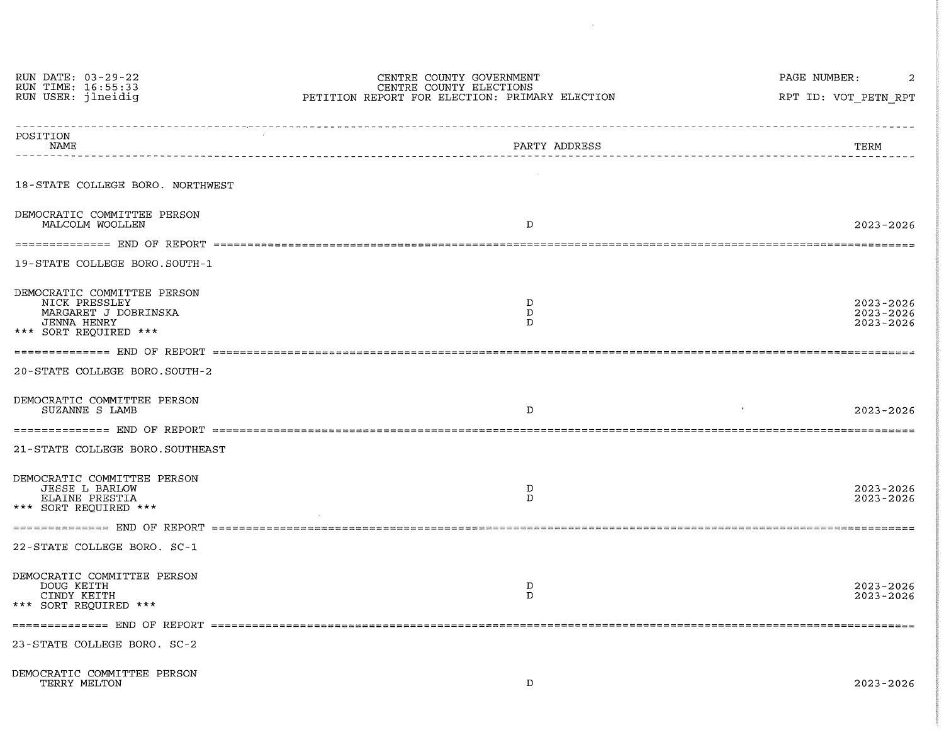| RUN DATE: 03-29-22                                                                                                  | CENTRE COUNTY GOVERNMENT                                                  | PAGE NUMBER:<br>2                           |  |  |
|---------------------------------------------------------------------------------------------------------------------|---------------------------------------------------------------------------|---------------------------------------------|--|--|
| RUN TIME: 16:55:33<br>RUN USER: jlneidig                                                                            | CENTRE COUNTY ELECTIONS<br>PETITION REPORT FOR ELECTION: PRIMARY ELECTION | RPT ID: VOT PETN RPT                        |  |  |
| POSITION<br>NAME                                                                                                    | PARTY ADDRESS<br>-----------------------------------                      | TERM<br>--------------------------          |  |  |
| 18-STATE COLLEGE BORO. NORTHWEST                                                                                    |                                                                           |                                             |  |  |
| DEMOCRATIC COMMITTEE PERSON<br>MALCOLM WOOLLEN                                                                      | D                                                                         | $2023 - 2026$                               |  |  |
|                                                                                                                     |                                                                           |                                             |  |  |
| 19-STATE COLLEGE BORO.SOUTH-1                                                                                       |                                                                           |                                             |  |  |
| DEMOCRATIC COMMITTEE PERSON<br>NICK PRESSLEY<br>MARGARET J DOBRINSKA<br><b>JENNA HENRY</b><br>*** SORT REOUIRED *** | D<br>D<br>D                                                               | 2023-2026<br>$2023 - 2026$<br>$2023 - 2026$ |  |  |
|                                                                                                                     |                                                                           |                                             |  |  |
| 20-STATE COLLEGE BORO.SOUTH-2                                                                                       |                                                                           |                                             |  |  |
| DEMOCRATIC COMMITTEE PERSON<br>SUZANNE S LAMB                                                                       | $\mathbf{D}$                                                              | 2023-2026                                   |  |  |
|                                                                                                                     |                                                                           |                                             |  |  |
| 21-STATE COLLEGE BORO.SOUTHEAST                                                                                     |                                                                           |                                             |  |  |
| DEMOCRATIC COMMITTEE PERSON<br><b>JESSE L BARLOW</b><br>ELAINE PRESTIA<br>*** SORT REOUIRED ***                     | D<br>D                                                                    | 2023-2026<br>2023-2026                      |  |  |
|                                                                                                                     |                                                                           |                                             |  |  |
| 22-STATE COLLEGE BORO. SC-1                                                                                         |                                                                           |                                             |  |  |
| DEMOCRATIC COMMITTEE PERSON<br>DOUG KEITH<br>CINDY KEITH<br>*** SORT REQUIRED ***                                   | D<br>D                                                                    | $2023 - 2026$<br>2023-2026                  |  |  |
|                                                                                                                     |                                                                           |                                             |  |  |
| 23-STATE COLLEGE BORO. SC-2                                                                                         |                                                                           |                                             |  |  |
| DEMOCRATIC COMMITTEE PERSON<br>TERRY MELTON                                                                         | D                                                                         | 2023-2026                                   |  |  |

 $\sim 10^7$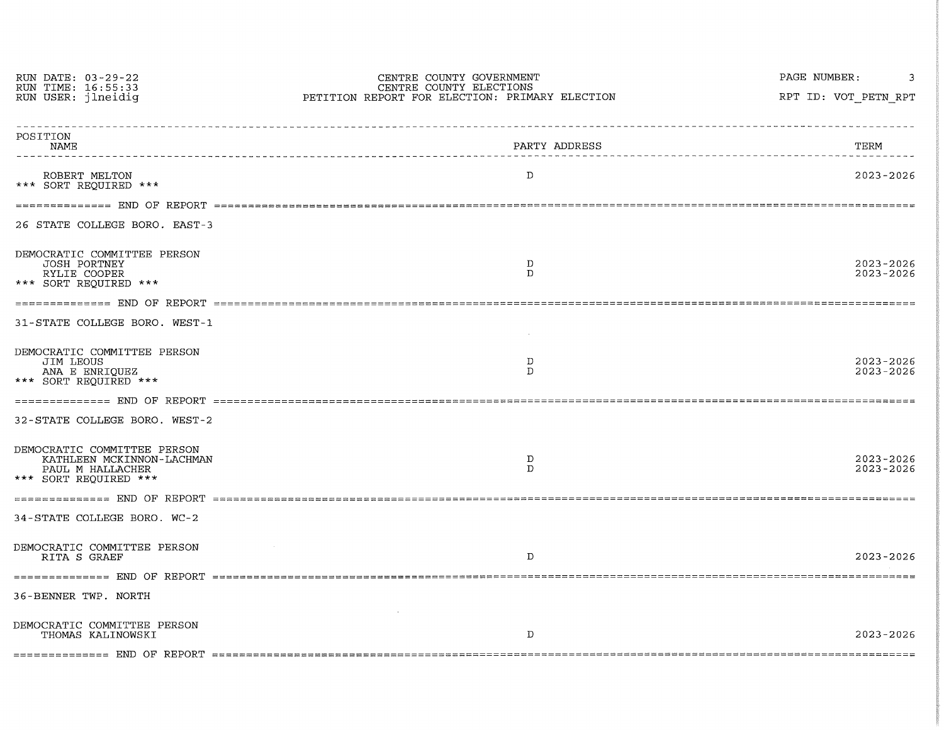| RUN DATE: 03-29-22<br>RUN TIME: 16:55:33<br>RUN USER: jlneidig                                        | CENTRE COUNTY GOVERNMENT<br>CENTRE COUNTY ELECTIONS<br>PETITION REPORT FOR ELECTION: PRIMARY ELECTION | PAGE NUMBER:<br>RPT ID: VOT PETN RPT |
|-------------------------------------------------------------------------------------------------------|-------------------------------------------------------------------------------------------------------|--------------------------------------|
| POSITION<br><b>NAME</b>                                                                               | PARTY ADDRESS<br>-------------------------------                                                      | TERM                                 |
| ROBERT MELTON<br>*** SORT REOUIRED ***                                                                | D                                                                                                     | $2023 - 2026$                        |
|                                                                                                       |                                                                                                       |                                      |
| 26 STATE COLLEGE BORO. EAST-3                                                                         |                                                                                                       |                                      |
| DEMOCRATIC COMMITTEE PERSON<br><b>JOSH PORTNEY</b><br>RYLIE COOPER<br>*** SORT REQUIRED ***           | D<br>D.                                                                                               | 2023-2026<br>$2023 - 2026$           |
|                                                                                                       |                                                                                                       |                                      |
| 31-STATE COLLEGE BORO. WEST-1                                                                         |                                                                                                       |                                      |
| DEMOCRATIC COMMITTEE PERSON<br>JIM LEOUS<br>ANA E ENRIQUEZ<br>*** SORT REQUIRED ***                   | D<br>D                                                                                                | $2023 - 2026$<br>$2023 - 2026$       |
|                                                                                                       |                                                                                                       |                                      |
| 32-STATE COLLEGE BORO. WEST-2                                                                         |                                                                                                       |                                      |
| DEMOCRATIC COMMITTEE PERSON<br>KATHLEEN MCKINNON-LACHMAN<br>PAUL M HALLACHER<br>*** SORT REOUIRED *** | D<br>D                                                                                                | 2023-2026<br>2023-2026               |
|                                                                                                       |                                                                                                       |                                      |
| 34-STATE COLLEGE BORO. WC-2                                                                           |                                                                                                       |                                      |
| DEMOCRATIC COMMITTEE PERSON<br>RITA S GRAEF                                                           | D                                                                                                     | 2023-2026                            |
|                                                                                                       |                                                                                                       |                                      |
| 36-BENNER TWP. NORTH                                                                                  |                                                                                                       |                                      |
| DEMOCRATIC COMMITTEE PERSON<br>THOMAS KALINOWSKI                                                      | D                                                                                                     | 2023-2026                            |
|                                                                                                       |                                                                                                       |                                      |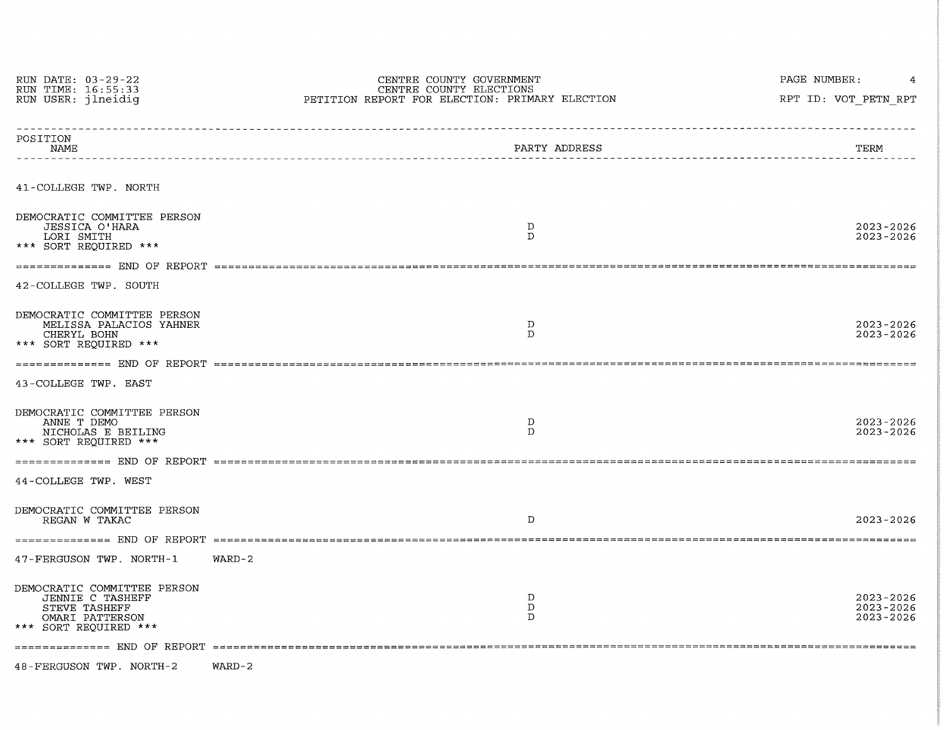| RUN DATE: 03-29-22<br>RUN TIME: 16:55:33                                                                     | CENTRE COUNTY GOVERNMENT<br>CENTRE COUNTY ELECTIONS | PAGE NUMBER:                            |  |  |  |
|--------------------------------------------------------------------------------------------------------------|-----------------------------------------------------|-----------------------------------------|--|--|--|
| RUN USER: jlneidig                                                                                           | PETITION REPORT FOR ELECTION: PRIMARY ELECTION      | RPT ID: VOT PETN RPT                    |  |  |  |
| POSITION<br>NAME                                                                                             | PARTY ADDRESS                                       | TERM                                    |  |  |  |
| 41-COLLEGE TWP. NORTH                                                                                        |                                                     |                                         |  |  |  |
| DEMOCRATIC COMMITTEE PERSON<br>JESSICA O'HARA<br>LORI SMITH<br>*** SORT REQUIRED ***                         | $\mathbf{D}$<br>$\mathcal{D}$                       | 2023-2026<br>2023-2026                  |  |  |  |
|                                                                                                              |                                                     |                                         |  |  |  |
| 42-COLLEGE TWP. SOUTH                                                                                        |                                                     |                                         |  |  |  |
| DEMOCRATIC COMMITTEE PERSON<br>MELISSA PALACIOS YAHNER<br>CHERYL BOHN<br>*** SORT REOUIRED ***               | D<br>D                                              | 2023-2026<br>$2023 - 2026$              |  |  |  |
|                                                                                                              |                                                     |                                         |  |  |  |
| 43-COLLEGE TWP. EAST                                                                                         |                                                     |                                         |  |  |  |
| DEMOCRATIC COMMITTEE PERSON<br>ANNE T DEMO<br>NICHOLAS E BEILING<br>*** SORT REQUIRED ***                    | $\mathbf D$<br>$\mathbf{D}$                         | 2023-2026<br>$2023 - 2026$              |  |  |  |
|                                                                                                              |                                                     |                                         |  |  |  |
| 44-COLLEGE TWP. WEST                                                                                         |                                                     |                                         |  |  |  |
| DEMOCRATIC COMMITTEE PERSON<br>REGAN W TAKAC                                                                 | D                                                   | $2023 - 2026$                           |  |  |  |
|                                                                                                              |                                                     |                                         |  |  |  |
| 47-FERGUSON TWP. NORTH-1                                                                                     | $WARD-2$                                            |                                         |  |  |  |
| DEMOCRATIC COMMITTEE PERSON<br>JENNIE C TASHEFF<br>STEVE TASHEFF<br>OMARI PATTERSON<br>*** SORT REOUIRED *** | D<br>D<br>D                                         | $2023 - 2026$<br>2023-2026<br>2023-2026 |  |  |  |
|                                                                                                              |                                                     |                                         |  |  |  |
| 48-FERGUSON TWP. NORTH-2                                                                                     | $WARD-2$                                            |                                         |  |  |  |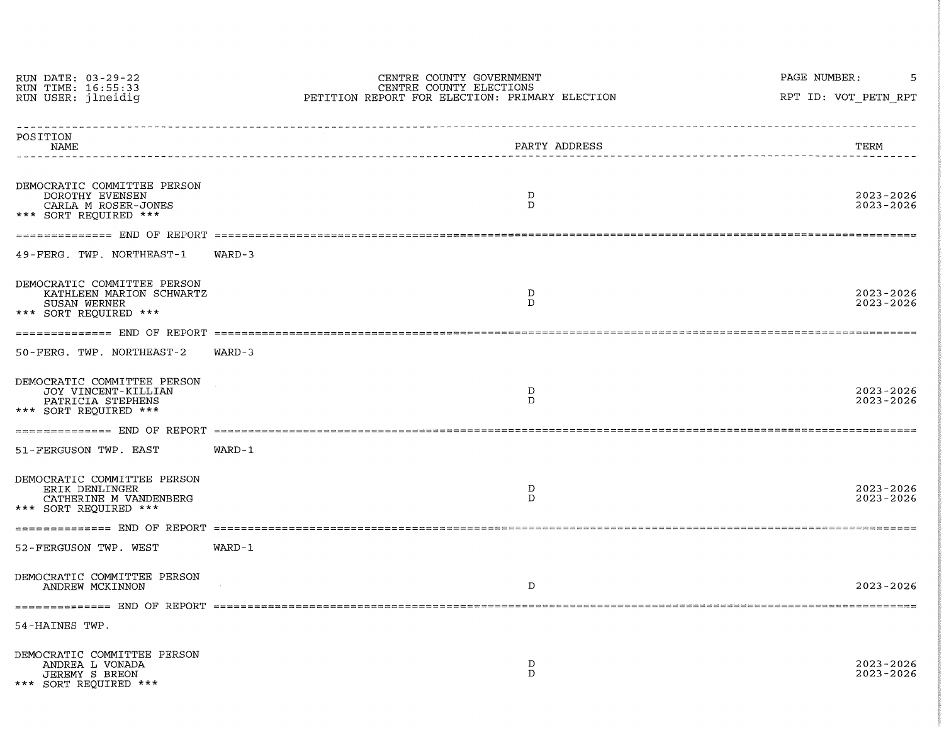| RUN DATE: 03-29-22<br>RUN TIME: 16:55:33<br>RUN USER: jlneidig                                   | CENTRE COUNTY GOVERNMENT<br>CENTRE COUNTY ELECTIONS<br>PETITION REPORT FOR ELECTION: PRIMARY ELECTION | PAGE NUMBER:<br>RPT ID: VOT PETN RPT    |
|--------------------------------------------------------------------------------------------------|-------------------------------------------------------------------------------------------------------|-----------------------------------------|
| POSITION<br>NAME                                                                                 | PARTY ADDRESS                                                                                         | TERM<br>_______________________________ |
| DEMOCRATIC COMMITTEE PERSON<br>DOROTHY EVENSEN<br>CARLA M ROSER-JONES<br>*** SORT REQUIRED ***   | D<br>D                                                                                                | $2023 - 2026$<br>$2023 - 2026$          |
|                                                                                                  |                                                                                                       |                                         |
| 49-FERG. TWP. NORTHEAST-1                                                                        | $WARD-3$                                                                                              |                                         |
| DEMOCRATIC COMMITTEE PERSON<br>KATHLEEN MARION SCHWARTZ<br>SUSAN WERNER<br>*** SORT REOUIRED *** | D<br>D                                                                                                | 2023-2026<br>$2023 - 2026$              |
|                                                                                                  |                                                                                                       |                                         |
| 50-FERG. TWP. NORTHEAST-2                                                                        | $WARD-3$                                                                                              |                                         |
| DEMOCRATIC COMMITTEE PERSON<br>JOY VINCENT-KILLIAN<br>PATRICIA STEPHENS<br>*** SORT REOUIRED *** | D<br>D                                                                                                | $2023 - 2026$<br>$2023 - 2026$          |
|                                                                                                  |                                                                                                       |                                         |
| 51-FERGUSON TWP. EAST                                                                            | $WARD-1$                                                                                              |                                         |
| DEMOCRATIC COMMITTEE PERSON<br>ERIK DENLINGER<br>CATHERINE M VANDENBERG<br>*** SORT REQUIRED *** | D<br>$\mathbf{D}$                                                                                     | $2023 - 2026$<br>2023-2026              |
|                                                                                                  |                                                                                                       |                                         |
| 52-FERGUSON TWP. WEST                                                                            | WARD-1                                                                                                |                                         |
| DEMOCRATIC COMMITTEE PERSON<br>ANDREW MCKINNON                                                   | D                                                                                                     | $2023 - 2026$                           |
|                                                                                                  |                                                                                                       |                                         |
| 54-HAINES TWP.                                                                                   |                                                                                                       |                                         |
| DEMOCRATIC COMMITTEE PERSON<br>ANDREA L VONADA<br>JEREMY S BREON<br>*** SORT REQUIRED ***        | D<br>D                                                                                                | $2023 - 2026$<br>$2023 - 2026$          |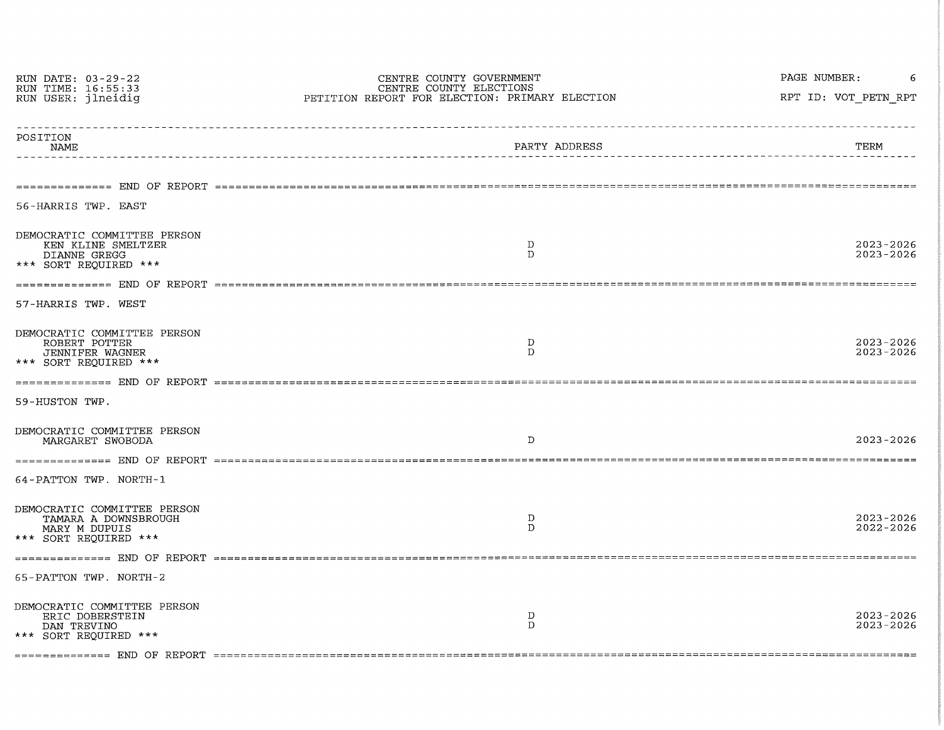| RUN DATE: 03-29-22<br>RUN TIME: 16:55:33<br>RUN USER: jlneidig                                                          | CENTRE COUNTY GOVERNMENT<br>CENTRE COUNTY ELECTIONS<br>PETITION REPORT FOR ELECTION: PRIMARY ELECTION | PAGE NUMBER:<br>RPT ID: VOT PETN RPT   |
|-------------------------------------------------------------------------------------------------------------------------|-------------------------------------------------------------------------------------------------------|----------------------------------------|
| POSITION<br>NAME                                                                                                        | PARTY ADDRESS<br>____________________ <b>______</b> _                                                 | <u>____________________</u> __<br>TERM |
| 56-HARRIS TWP. EAST                                                                                                     |                                                                                                       |                                        |
| DEMOCRATIC COMMITTEE PERSON<br>KEN KLINE SMELTZER<br>DIANNE GREGG<br>*** SORT REOUIRED ***                              | D<br>$\mathbf{D}$                                                                                     | 2023-2026<br>$2023 - 2026$             |
|                                                                                                                         |                                                                                                       |                                        |
| 57-HARRIS TWP. WEST<br>DEMOCRATIC COMMITTEE PERSON<br>ROBERT POTTER<br><b>JENNIFER WAGNER</b><br>*** SORT REQUIRED ***  | D<br>D                                                                                                | $2023 - 2026$<br>$2023 - 2026$         |
|                                                                                                                         |                                                                                                       |                                        |
| 59-HUSTON TWP.                                                                                                          |                                                                                                       |                                        |
| DEMOCRATIC COMMITTEE PERSON<br>MARGARET SWOBODA                                                                         | D                                                                                                     | $2023 - 2026$                          |
|                                                                                                                         |                                                                                                       |                                        |
| 64-PATTON TWP. NORTH-1<br>DEMOCRATIC COMMITTEE PERSON<br>TAMARA A DOWNSBROUGH<br>MARY M DUPUIS<br>*** SORT REOUIRED *** | D<br>$\mathbf{D}$                                                                                     | $2023 - 2026$<br>$2022 - 2026$         |
|                                                                                                                         |                                                                                                       |                                        |
| 65-PATTON TWP. NORTH-2                                                                                                  |                                                                                                       |                                        |
| DEMOCRATIC COMMITTEE PERSON<br>ERIC DOBERSTEIN<br>DAN TREVINO<br>*** SORT REOUIRED ***                                  | D<br>$\mathbf{D}$                                                                                     | $2023 - 2026$<br>$2023 - 2026$         |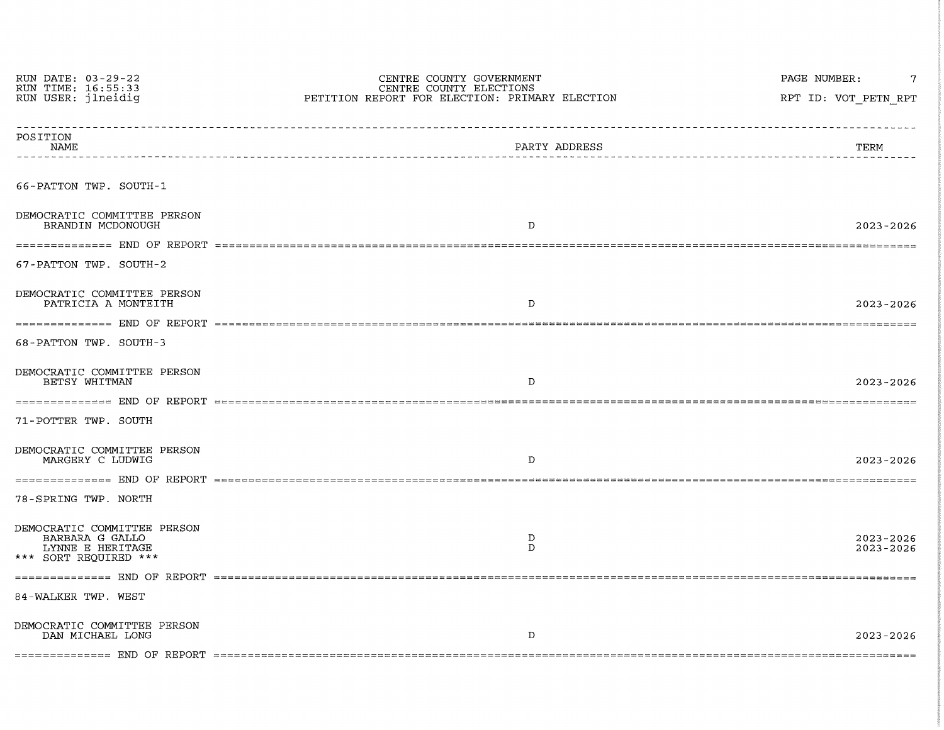| RUN DATE: 03-29-22<br>RUN TIME: 16:55:33<br>RUN USER: jlneidig                              | CENTRE COUNTY GOVERNMENT<br>CENTRE COUNTY ELECTIONS<br>PETITION REPORT FOR ELECTION: PRIMARY ELECTION | PAGE NUMBER:<br>RPT ID: VOT PETN RPT |
|---------------------------------------------------------------------------------------------|-------------------------------------------------------------------------------------------------------|--------------------------------------|
| POSITION<br>NAME                                                                            | _______________________<br>PARTY ADDRESS                                                              | TERM                                 |
| 66-PATTON TWP. SOUTH-1                                                                      |                                                                                                       |                                      |
| DEMOCRATIC COMMITTEE PERSON<br>BRANDIN MCDONOUGH                                            | $\mathbf{D}$                                                                                          | 2023-2026                            |
| 67-PATTON TWP. SOUTH-2                                                                      |                                                                                                       |                                      |
| DEMOCRATIC COMMITTEE PERSON<br>PATRICIA A MONTEITH                                          | D                                                                                                     | $2023 - 2026$                        |
| 68-PATTON TWP. SOUTH-3                                                                      |                                                                                                       |                                      |
| DEMOCRATIC COMMITTEE PERSON<br>BETSY WHITMAN                                                | D.                                                                                                    | 2023-2026                            |
| 71-POTTER TWP. SOUTH                                                                        |                                                                                                       |                                      |
| DEMOCRATIC COMMITTEE PERSON<br>MARGERY C LUDWIG                                             | D                                                                                                     | $2023 - 2026$                        |
| 78-SPRING TWP. NORTH                                                                        |                                                                                                       |                                      |
| DEMOCRATIC COMMITTEE PERSON<br>BARBARA G GALLO<br>LYNNE E HERITAGE<br>*** SORT REQUIRED *** | D<br>$\mathbf{D}$                                                                                     | $2023 - 2026$<br>2023-2026           |
| 84-WALKER TWP. WEST                                                                         |                                                                                                       |                                      |
| DEMOCRATIC COMMITTEE PERSON<br>DAN MICHAEL LONG                                             | D                                                                                                     | $2023 - 2026$                        |
|                                                                                             |                                                                                                       |                                      |